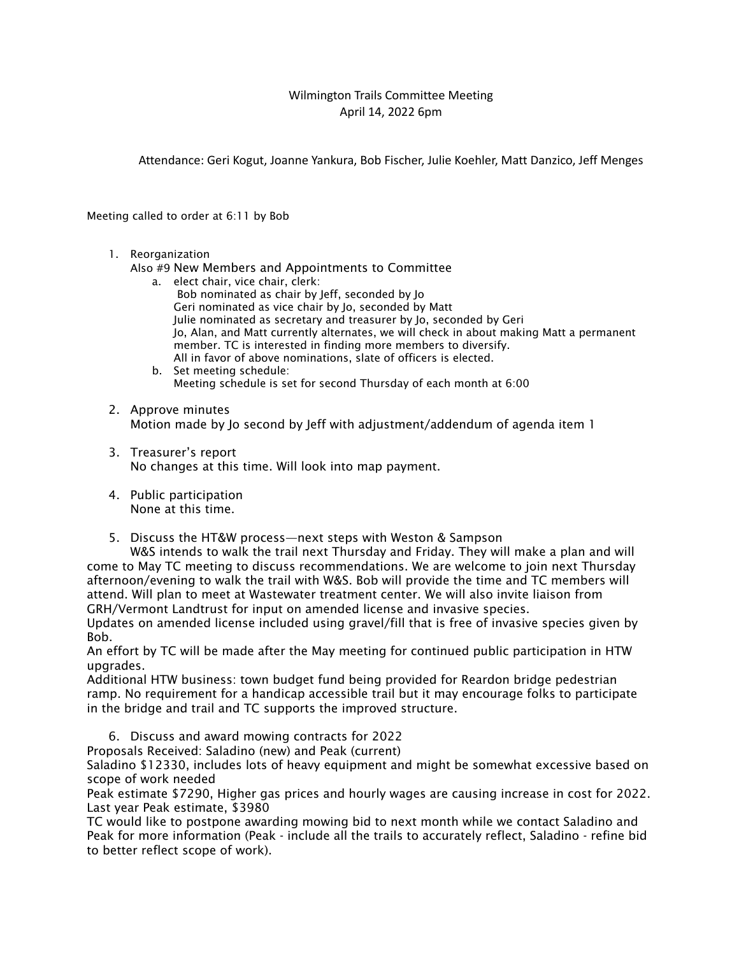## Wilmington Trails Committee Meeting April 14, 2022 6pm

Attendance: Geri Kogut, Joanne Yankura, Bob Fischer, Julie Koehler, Matt Danzico, Jeff Menges

Meeting called to order at 6:11 by Bob

1. Reorganization

Also #9 New Members and Appointments to Committee

- a. elect chair, vice chair, clerk: Bob nominated as chair by Jeff, seconded by Jo Geri nominated as vice chair by Jo, seconded by Matt Julie nominated as secretary and treasurer by Jo, seconded by Geri Jo, Alan, and Matt currently alternates, we will check in about making Matt a permanent member. TC is interested in finding more members to diversify. All in favor of above nominations, slate of officers is elected.
- b. Set meeting schedule: Meeting schedule is set for second Thursday of each month at 6:00
- 2. Approve minutes Motion made by Jo second by Jeff with adjustment/addendum of agenda item 1
- 3. Treasurer's report No changes at this time. Will look into map payment.
- 4. Public participation None at this time.
- 5. Discuss the HT&W process—next steps with Weston & Sampson

W&S intends to walk the trail next Thursday and Friday. They will make a plan and will come to May TC meeting to discuss recommendations. We are welcome to join next Thursday afternoon/evening to walk the trail with W&S. Bob will provide the time and TC members will attend. Will plan to meet at Wastewater treatment center. We will also invite liaison from GRH/Vermont Landtrust for input on amended license and invasive species.

Updates on amended license included using gravel/fill that is free of invasive species given by Bob.

An effort by TC will be made after the May meeting for continued public participation in HTW upgrades.

Additional HTW business: town budget fund being provided for Reardon bridge pedestrian ramp. No requirement for a handicap accessible trail but it may encourage folks to participate in the bridge and trail and TC supports the improved structure.

6. Discuss and award mowing contracts for 2022

Proposals Received: Saladino (new) and Peak (current)

Saladino \$12330, includes lots of heavy equipment and might be somewhat excessive based on scope of work needed

Peak estimate \$7290, Higher gas prices and hourly wages are causing increase in cost for 2022. Last year Peak estimate, \$3980

TC would like to postpone awarding mowing bid to next month while we contact Saladino and Peak for more information (Peak - include all the trails to accurately reflect, Saladino - refine bid to better reflect scope of work).